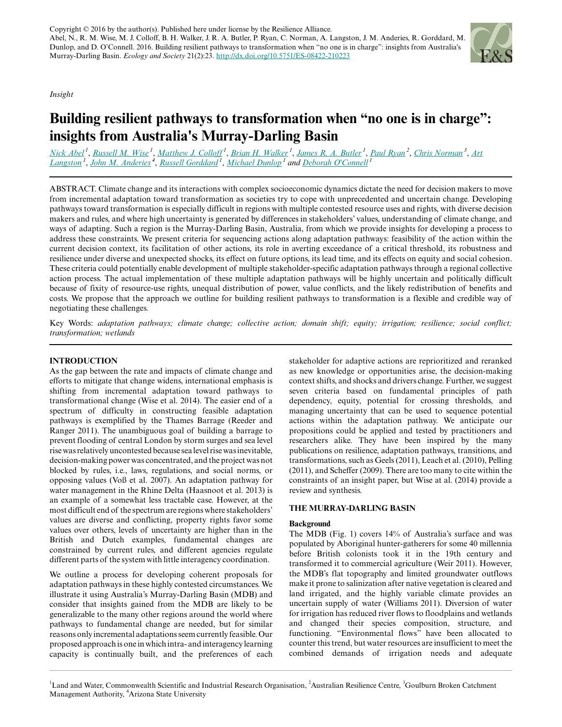*Insight*



# **Building resilient pathways to transformation when "no one is in charge": insights from Australia's Murray-Darling Basin**

<u>[Nick Abel](mailto:nick.abel@csiro.au)<sup>1</sup>, [Russell M. Wise](mailto:russell.wise@csiro.au)<sup>1</sup>, [Matthew J. Colloff](mailto:Matt.Colloff@csiro.au)<sup>1</sup>, [Brian H. Walker](mailto:brian.walker@csiro.au)<sup>1</sup>, [James R. A. Butler](mailto:james.butler@csiro.au)<sup>1</sup>, [Paul Ryan](mailto:paulryan@internode.on.net)<sup>2</sup>, [Chris Norman](mailto:chrisn@gbcma.vic.gov.au)<sup>3</sup>, [Art](mailto:art.langston@csiro.au)</u> *[Langston](mailto:art.langston@csiro.au)<sup>1</sup>* , *[John M. Anderies](mailto:m.anderies@asu.edu)<sup>4</sup>* , *[Russell Gorddard](mailto:Russell.Gorddard@csiro.au)<sup>1</sup>* , *[Michael Dunlop](mailto:michael.dunlop@csiro.au)<sup>1</sup> and [Deborah O'Connell](mailto:deborah.o)<sup>1</sup>*

ABSTRACT. Climate change and its interactions with complex socioeconomic dynamics dictate the need for decision makers to move from incremental adaptation toward transformation as societies try to cope with unprecedented and uncertain change. Developing pathways toward transformation is especially difficult in regions with multiple contested resource uses and rights, with diverse decision makers and rules, and where high uncertainty is generated by differences in stakeholders' values, understanding of climate change, and ways of adapting. Such a region is the Murray-Darling Basin, Australia, from which we provide insights for developing a process to address these constraints. We present criteria for sequencing actions along adaptation pathways: feasibility of the action within the current decision context, its facilitation of other actions, its role in averting exceedance of a critical threshold, its robustness and resilience under diverse and unexpected shocks, its effect on future options, its lead time, and its effects on equity and social cohesion. These criteria could potentially enable development of multiple stakeholder-specific adaptation pathways through a regional collective action process. The actual implementation of these multiple adaptation pathways will be highly uncertain and politically difficult because of fixity of resource-use rights, unequal distribution of power, value conflicts, and the likely redistribution of benefits and costs. We propose that the approach we outline for building resilient pathways to transformation is a flexible and credible way of negotiating these challenges.

Key Words: *adaptation pathways; climate change; collective action; domain shift; equity; irrigation; resilience; social conflict; transformation; wetlands*

# **INTRODUCTION**

As the gap between the rate and impacts of climate change and efforts to mitigate that change widens, international emphasis is shifting from incremental adaptation toward pathways to transformational change (Wise et al. 2014). The easier end of a spectrum of difficulty in constructing feasible adaptation pathways is exemplified by the Thames Barrage (Reeder and Ranger 2011). The unambiguous goal of building a barrage to prevent flooding of central London by storm surges and sea level rise was relatively uncontested because sea level rise was inevitable, decision-making power was concentrated, and the project was not blocked by rules, i.e., laws, regulations, and social norms, or opposing values (Voß et al. 2007). An adaptation pathway for water management in the Rhine Delta (Haasnoot et al. 2013) is an example of a somewhat less tractable case. However, at the most difficult end of the spectrum are regions where stakeholders' values are diverse and conflicting, property rights favor some values over others, levels of uncertainty are higher than in the British and Dutch examples, fundamental changes are constrained by current rules, and different agencies regulate different parts of the system with little interagency coordination.

We outline a process for developing coherent proposals for adaptation pathways in these highly contested circumstances. We illustrate it using Australia's Murray-Darling Basin (MDB) and consider that insights gained from the MDB are likely to be generalizable to the many other regions around the world where pathways to fundamental change are needed, but for similar reasons only incremental adaptations seem currently feasible. Our proposed approach is one in which intra- and interagency learning capacity is continually built, and the preferences of each

stakeholder for adaptive actions are reprioritized and reranked as new knowledge or opportunities arise, the decision-making context shifts, and shocks and drivers change. Further, we suggest seven criteria based on fundamental principles of path dependency, equity, potential for crossing thresholds, and managing uncertainty that can be used to sequence potential actions within the adaptation pathway. We anticipate our propositions could be applied and tested by practitioners and researchers alike. They have been inspired by the many publications on resilience, adaptation pathways, transitions, and transformations, such as Geels (2011), Leach et al. (2010), Pelling (2011), and Scheffer (2009). There are too many to cite within the constraints of an insight paper, but Wise at al. (2014) provide a review and synthesis.

# **THE MURRAY-DARLING BASIN**

# **Background**

The MDB (Fig. 1) covers 14% of Australia's surface and was populated by Aboriginal hunter-gatherers for some 40 millennia before British colonists took it in the 19th century and transformed it to commercial agriculture (Weir 2011). However, the MDB's flat topography and limited groundwater outflows make it prone to salinization after native vegetation is cleared and land irrigated, and the highly variable climate provides an uncertain supply of water (Williams 2011). Diversion of water for irrigation has reduced river flows to floodplains and wetlands and changed their species composition, structure, and functioning. "Environmental flows" have been allocated to counter this trend, but water resources are insufficient to meet the combined demands of irrigation needs and adequate

<sup>1</sup>Land and Water, Commonwealth Scientific and Industrial Research Organisation, <sup>2</sup>Australian Resilience Centre, <sup>3</sup>Goulburn Broken Catchment Management Authority, <sup>4</sup>Arizona State University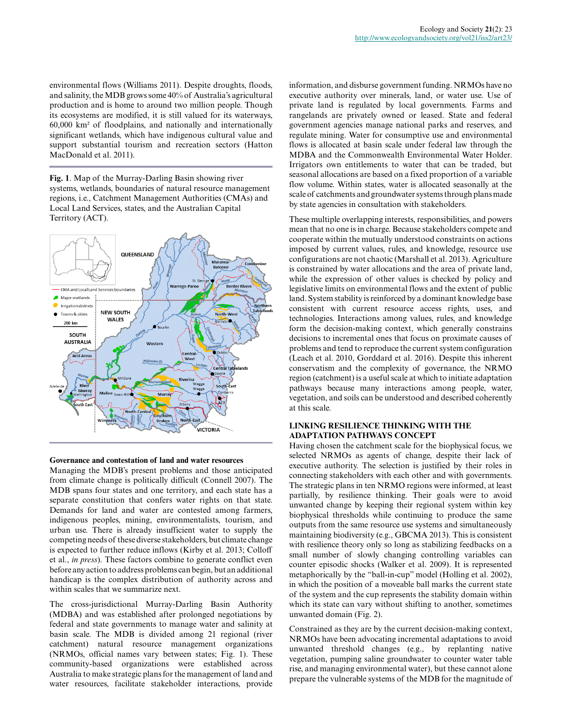environmental flows (Williams 2011). Despite droughts, floods, and salinity, the MDB grows some 40% of Australia's agricultural production and is home to around two million people. Though its ecosystems are modified, it is still valued for its waterways, 60,000 km² of floodplains, and nationally and internationally significant wetlands, which have indigenous cultural value and support substantial tourism and recreation sectors (Hatton MacDonald et al. 2011).

**Fig. 1**. Map of the Murray-Darling Basin showing river systems, wetlands, boundaries of natural resource management regions, i.e., Catchment Management Authorities (CMAs) and Local Land Services, states, and the Australian Capital Territory (ACT).



## **Governance and contestation of land and water resources**

Managing the MDB's present problems and those anticipated from climate change is politically difficult (Connell 2007). The MDB spans four states and one territory, and each state has a separate constitution that confers water rights on that state. Demands for land and water are contested among farmers, indigenous peoples, mining, environmentalists, tourism, and urban use. There is already insufficient water to supply the competing needs of these diverse stakeholders, but climate change is expected to further reduce inflows (Kirby et al. 2013; Colloff et al., *in press*). These factors combine to generate conflict even before any action to address problems can begin, but an additional handicap is the complex distribution of authority across and within scales that we summarize next.

The cross-jurisdictional Murray-Darling Basin Authority (MDBA) and was established after prolonged negotiations by federal and state governments to manage water and salinity at basin scale. The MDB is divided among 21 regional (river catchment) natural resource management organizations (NRMOs, official names vary between states; Fig. 1). These community-based organizations were established across Australia to make strategic plans for the management of land and water resources, facilitate stakeholder interactions, provide

information, and disburse government funding. NRMOs have no executive authority over minerals, land, or water use. Use of private land is regulated by local governments. Farms and rangelands are privately owned or leased. State and federal government agencies manage national parks and reserves, and regulate mining. Water for consumptive use and environmental flows is allocated at basin scale under federal law through the MDBA and the Commonwealth Environmental Water Holder. Irrigators own entitlements to water that can be traded, but seasonal allocations are based on a fixed proportion of a variable flow volume. Within states, water is allocated seasonally at the scale of catchments and groundwater systems through plans made by state agencies in consultation with stakeholders.

These multiple overlapping interests, responsibilities, and powers mean that no one is in charge. Because stakeholders compete and cooperate within the mutually understood constraints on actions imposed by current values, rules, and knowledge, resource use configurations are not chaotic (Marshall et al. 2013). Agriculture is constrained by water allocations and the area of private land, while the expression of other values is checked by policy and legislative limits on environmental flows and the extent of public land. System stability is reinforced by a dominant knowledge base consistent with current resource access rights, uses, and technologies. Interactions among values, rules, and knowledge form the decision-making context, which generally constrains decisions to incremental ones that focus on proximate causes of problems and tend to reproduce the current system configuration (Leach et al. 2010, Gorddard et al. 2016). Despite this inherent conservatism and the complexity of governance, the NRMO region (catchment) is a useful scale at which to initiate adaptation pathways because many interactions among people, water, vegetation, and soils can be understood and described coherently at this scale.

# **LINKING RESILIENCE THINKING WITH THE ADAPTATION PATHWAYS CONCEPT**

Having chosen the catchment scale for the biophysical focus, we selected NRMOs as agents of change, despite their lack of executive authority. The selection is justified by their roles in connecting stakeholders with each other and with governments. The strategic plans in ten NRMO regions were informed, at least partially, by resilience thinking. Their goals were to avoid unwanted change by keeping their regional system within key biophysical thresholds while continuing to produce the same outputs from the same resource use systems and simultaneously maintaining biodiversity (e.g., GBCMA 2013). This is consistent with resilience theory only so long as stabilizing feedbacks on a small number of slowly changing controlling variables can counter episodic shocks (Walker et al. 2009). It is represented metaphorically by the "ball-in-cup" model (Holling et al. 2002), in which the position of a moveable ball marks the current state of the system and the cup represents the stability domain within which its state can vary without shifting to another, sometimes unwanted domain (Fig. 2).

Constrained as they are by the current decision-making context, NRMOs have been advocating incremental adaptations to avoid unwanted threshold changes (e.g., by replanting native vegetation, pumping saline groundwater to counter water table rise, and managing environmental water), but these cannot alone prepare the vulnerable systems of the MDB for the magnitude of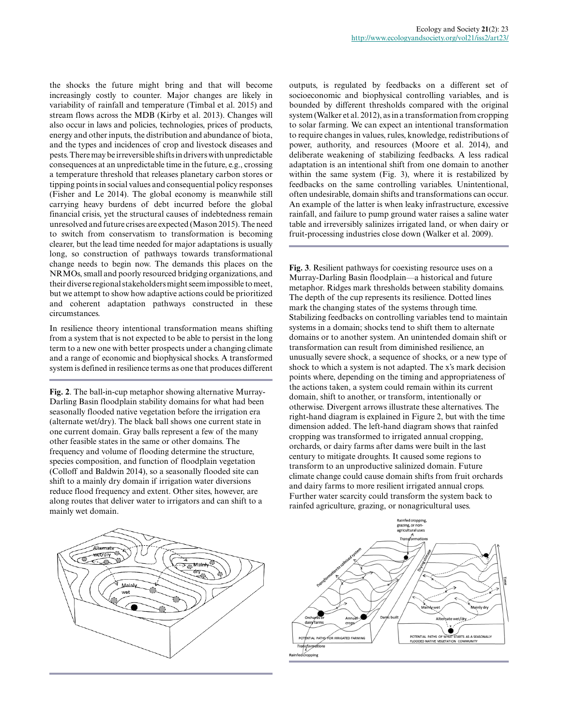the shocks the future might bring and that will become increasingly costly to counter. Major changes are likely in variability of rainfall and temperature (Timbal et al. 2015) and stream flows across the MDB (Kirby et al. 2013). Changes will also occur in laws and policies, technologies, prices of products, energy and other inputs, the distribution and abundance of biota, and the types and incidences of crop and livestock diseases and pests. There may be irreversible shifts in drivers with unpredictable consequences at an unpredictable time in the future, e.g., crossing a temperature threshold that releases planetary carbon stores or tipping points in social values and consequential policy responses (Fisher and Le 2014). The global economy is meanwhile still carrying heavy burdens of debt incurred before the global financial crisis, yet the structural causes of indebtedness remain unresolved and future crises are expected (Mason 2015). The need to switch from conservatism to transformation is becoming clearer, but the lead time needed for major adaptations is usually long, so construction of pathways towards transformational change needs to begin now. The demands this places on the NRMOs, small and poorly resourced bridging organizations, and their diverse regional stakeholders might seem impossible to meet, but we attempt to show how adaptive actions could be prioritized and coherent adaptation pathways constructed in these circumstances.

In resilience theory intentional transformation means shifting from a system that is not expected to be able to persist in the long term to a new one with better prospects under a changing climate and a range of economic and biophysical shocks. A transformed system is defined in resilience terms as one that produces different

**Fig. 2**. The ball-in-cup metaphor showing alternative Murray-Darling Basin floodplain stability domains for what had been seasonally flooded native vegetation before the irrigation era (alternate wet/dry). The black ball shows one current state in one current domain. Gray balls represent a few of the many other feasible states in the same or other domains. The frequency and volume of flooding determine the structure, species composition, and function of floodplain vegetation (Colloff and Baldwin 2014), so a seasonally flooded site can shift to a mainly dry domain if irrigation water diversions reduce flood frequency and extent. Other sites, however, are along routes that deliver water to irrigators and can shift to a mainly wet domain.

outputs, is regulated by feedbacks on a different set of socioeconomic and biophysical controlling variables, and is bounded by different thresholds compared with the original system (Walker et al. 2012), as in a transformation from cropping to solar farming. We can expect an intentional transformation to require changes in values, rules, knowledge, redistributions of power, authority, and resources (Moore et al. 2014), and deliberate weakening of stabilizing feedbacks. A less radical adaptation is an intentional shift from one domain to another within the same system (Fig. 3), where it is restabilized by feedbacks on the same controlling variables. Unintentional, often undesirable, domain shifts and transformations can occur. An example of the latter is when leaky infrastructure, excessive rainfall, and failure to pump ground water raises a saline water table and irreversibly salinizes irrigated land, or when dairy or fruit-processing industries close down (Walker et al. 2009).

**Fig. 3**. Resilient pathways for coexisting resource uses on a Murray-Darling Basin floodplain—a historical and future metaphor. Ridges mark thresholds between stability domains. The depth of the cup represents its resilience. Dotted lines mark the changing states of the systems through time. Stabilizing feedbacks on controlling variables tend to maintain systems in a domain; shocks tend to shift them to alternate domains or to another system. An unintended domain shift or transformation can result from diminished resilience, an unusually severe shock, a sequence of shocks, or a new type of shock to which a system is not adapted. The x's mark decision points where, depending on the timing and appropriateness of the actions taken, a system could remain within its current domain, shift to another, or transform, intentionally or otherwise. Divergent arrows illustrate these alternatives. The right-hand diagram is explained in Figure 2, but with the time dimension added. The left-hand diagram shows that rainfed cropping was transformed to irrigated annual cropping, orchards, or dairy farms after dams were built in the last century to mitigate droughts. It caused some regions to transform to an unproductive salinized domain. Future climate change could cause domain shifts from fruit orchards and dairy farms to more resilient irrigated annual crops. Further water scarcity could transform the system back to rainfed agriculture, grazing, or nonagricultural uses.



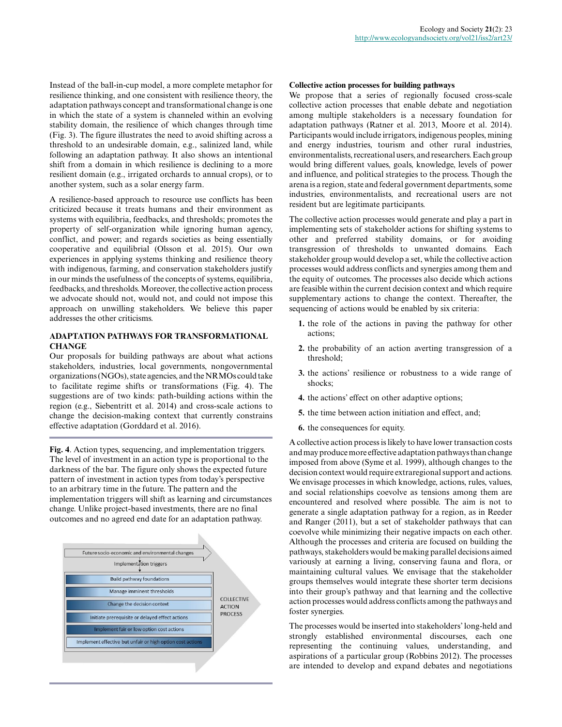Instead of the ball-in-cup model, a more complete metaphor for resilience thinking, and one consistent with resilience theory, the adaptation pathways concept and transformational change is one in which the state of a system is channeled within an evolving stability domain, the resilience of which changes through time (Fig. 3). The figure illustrates the need to avoid shifting across a threshold to an undesirable domain, e.g., salinized land, while following an adaptation pathway. It also shows an intentional shift from a domain in which resilience is declining to a more resilient domain (e.g., irrigated orchards to annual crops), or to another system, such as a solar energy farm.

A resilience-based approach to resource use conflicts has been criticized because it treats humans and their environment as systems with equilibria, feedbacks, and thresholds; promotes the property of self-organization while ignoring human agency, conflict, and power; and regards societies as being essentially cooperative and equilibrial (Olsson et al. 2015). Our own experiences in applying systems thinking and resilience theory with indigenous, farming, and conservation stakeholders justify in our minds the usefulness of the concepts of systems, equilibria, feedbacks, and thresholds. Moreover, the collective action process we advocate should not, would not, and could not impose this approach on unwilling stakeholders. We believe this paper addresses the other criticisms.

# **ADAPTATION PATHWAYS FOR TRANSFORMATIONAL CHANGE**

Our proposals for building pathways are about what actions stakeholders, industries, local governments, nongovernmental organizations (NGOs), state agencies, and the NRMOs could take to facilitate regime shifts or transformations (Fig. 4). The suggestions are of two kinds: path-building actions within the region (e.g., Siebentritt et al. 2014) and cross-scale actions to change the decision-making context that currently constrains effective adaptation (Gorddard et al. 2016).

**Fig. 4**. Action types, sequencing, and implementation triggers. The level of investment in an action type is proportional to the darkness of the bar. The figure only shows the expected future pattern of investment in action types from today's perspective to an arbitrary time in the future. The pattern and the implementation triggers will shift as learning and circumstances change. Unlike project-based investments, there are no final outcomes and no agreed end date for an adaptation pathway.



## **Collective action processes for building pathways**

We propose that a series of regionally focused cross-scale collective action processes that enable debate and negotiation among multiple stakeholders is a necessary foundation for adaptation pathways (Ratner et al. 2013, Moore et al. 2014). Participants would include irrigators, indigenous peoples, mining and energy industries, tourism and other rural industries, environmentalists, recreational users, and researchers. Each group would bring different values, goals, knowledge, levels of power and influence, and political strategies to the process. Though the arena is a region, state and federal government departments, some industries, environmentalists, and recreational users are not resident but are legitimate participants.

The collective action processes would generate and play a part in implementing sets of stakeholder actions for shifting systems to other and preferred stability domains, or for avoiding transgression of thresholds to unwanted domains. Each stakeholder group would develop a set, while the collective action processes would address conflicts and synergies among them and the equity of outcomes. The processes also decide which actions are feasible within the current decision context and which require supplementary actions to change the context. Thereafter, the sequencing of actions would be enabled by six criteria:

- **1.** the role of the actions in paving the pathway for other actions;
- **2.** the probability of an action averting transgression of a threshold;
- **3.** the actions' resilience or robustness to a wide range of shocks;
- **4.** the actions' effect on other adaptive options;
- **5.** the time between action initiation and effect, and;
- **6.** the consequences for equity.

A collective action process is likely to have lower transaction costs and may produce more effective adaptation pathways than change imposed from above (Syme et al. 1999), although changes to the decision context would require extraregional support and actions. We envisage processes in which knowledge, actions, rules, values, and social relationships coevolve as tensions among them are encountered and resolved where possible. The aim is not to generate a single adaptation pathway for a region, as in Reeder and Ranger (2011), but a set of stakeholder pathways that can coevolve while minimizing their negative impacts on each other. Although the processes and criteria are focused on building the pathways, stakeholders would be making parallel decisions aimed variously at earning a living, conserving fauna and flora, or maintaining cultural values. We envisage that the stakeholder groups themselves would integrate these shorter term decisions into their group's pathway and that learning and the collective action processes would address conflicts among the pathways and foster synergies.

The processes would be inserted into stakeholders' long-held and strongly established environmental discourses, each one representing the continuing values, understanding, and aspirations of a particular group (Robbins 2012). The processes are intended to develop and expand debates and negotiations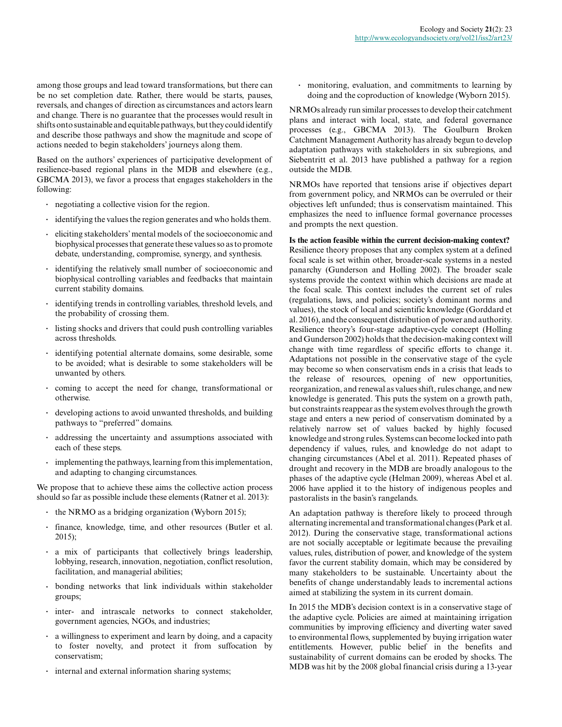among those groups and lead toward transformations, but there can be no set completion date. Rather, there would be starts, pauses, reversals, and changes of direction as circumstances and actors learn and change. There is no guarantee that the processes would result in shifts onto sustainable and equitable pathways, but they could identify and describe those pathways and show the magnitude and scope of actions needed to begin stakeholders' journeys along them.

Based on the authors' experiences of participative development of resilience-based regional plans in the MDB and elsewhere (e.g., GBCMA 2013), we favor a process that engages stakeholders in the following:

- **.** negotiating a collective vision for the region.
- **.** identifying the values the region generates and who holds them.
- **.** eliciting stakeholders' mental models of the socioeconomic and biophysical processes that generate these values so as to promote debate, understanding, compromise, synergy, and synthesis.
- **.** identifying the relatively small number of socioeconomic and biophysical controlling variables and feedbacks that maintain current stability domains.
- **.** identifying trends in controlling variables, threshold levels, and the probability of crossing them.
- **.** listing shocks and drivers that could push controlling variables across thresholds.
- **.** identifying potential alternate domains, some desirable, some to be avoided; what is desirable to some stakeholders will be unwanted by others.
- **.** coming to accept the need for change, transformational or otherwise.
- **.** developing actions to avoid unwanted thresholds, and building pathways to "preferred" domains.
- **.** addressing the uncertainty and assumptions associated with each of these steps.
- **.** implementing the pathways, learning from this implementation, and adapting to changing circumstances.

We propose that to achieve these aims the collective action process should so far as possible include these elements (Ratner et al. 2013):

- **.** the NRMO as a bridging organization (Wyborn 2015);
- **.** finance, knowledge, time, and other resources (Butler et al. 2015);
- **.** a mix of participants that collectively brings leadership, lobbying, research, innovation, negotiation, conflict resolution, facilitation, and managerial abilities;
- **.** bonding networks that link individuals within stakeholder groups;
- **.** inter- and intrascale networks to connect stakeholder, government agencies, NGOs, and industries;
- **.** a willingness to experiment and learn by doing, and a capacity to foster novelty, and protect it from suffocation by conservatism;
- **.** internal and external information sharing systems;

**.** monitoring, evaluation, and commitments to learning by doing and the coproduction of knowledge (Wyborn 2015).

NRMOs already run similar processes to develop their catchment plans and interact with local, state, and federal governance processes (e.g., GBCMA 2013). The Goulburn Broken Catchment Management Authority has already begun to develop adaptation pathways with stakeholders in six subregions, and Siebentritt et al. 2013 have published a pathway for a region outside the MDB.

NRMOs have reported that tensions arise if objectives depart from government policy, and NRMOs can be overruled or their objectives left unfunded; thus is conservatism maintained. This emphasizes the need to influence formal governance processes and prompts the next question.

**Is the action feasible within the current decision-making context?** Resilience theory proposes that any complex system at a defined focal scale is set within other, broader-scale systems in a nested panarchy (Gunderson and Holling 2002). The broader scale systems provide the context within which decisions are made at the focal scale. This context includes the current set of rules (regulations, laws, and policies; society's dominant norms and values), the stock of local and scientific knowledge (Gorddard et al. 2016), and the consequent distribution of power and authority. Resilience theory's four-stage adaptive-cycle concept (Holling and Gunderson 2002) holds that the decision-making context will change with time regardless of specific efforts to change it. Adaptations not possible in the conservative stage of the cycle may become so when conservatism ends in a crisis that leads to the release of resources, opening of new opportunities, reorganization, and renewal as values shift, rules change, and new knowledge is generated. This puts the system on a growth path, but constraints reappear as the system evolves through the growth stage and enters a new period of conservatism dominated by a relatively narrow set of values backed by highly focused knowledge and strong rules. Systems can become locked into path dependency if values, rules, and knowledge do not adapt to changing circumstances (Abel et al. 2011). Repeated phases of drought and recovery in the MDB are broadly analogous to the phases of the adaptive cycle (Helman 2009), whereas Abel et al. 2006 have applied it to the history of indigenous peoples and pastoralists in the basin's rangelands.

An adaptation pathway is therefore likely to proceed through alternating incremental and transformational changes (Park et al. 2012). During the conservative stage, transformational actions are not socially acceptable or legitimate because the prevailing values, rules, distribution of power, and knowledge of the system favor the current stability domain, which may be considered by many stakeholders to be sustainable. Uncertainty about the benefits of change understandably leads to incremental actions aimed at stabilizing the system in its current domain.

In 2015 the MDB's decision context is in a conservative stage of the adaptive cycle. Policies are aimed at maintaining irrigation communities by improving efficiency and diverting water saved to environmental flows, supplemented by buying irrigation water entitlements. However, public belief in the benefits and sustainability of current domains can be eroded by shocks. The MDB was hit by the 2008 global financial crisis during a 13-year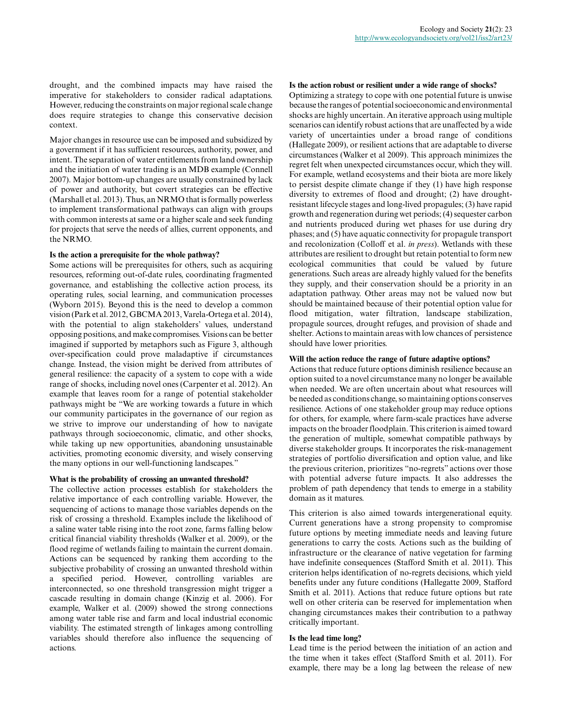drought, and the combined impacts may have raised the imperative for stakeholders to consider radical adaptations. However, reducing the constraints on major regional scale change does require strategies to change this conservative decision context.

Major changes in resource use can be imposed and subsidized by a government if it has sufficient resources, authority, power, and intent. The separation of water entitlements from land ownership and the initiation of water trading is an MDB example (Connell 2007). Major bottom-up changes are usually constrained by lack of power and authority, but covert strategies can be effective (Marshall et al. 2013). Thus, an NRMO that is formally powerless to implement transformational pathways can align with groups with common interests at same or a higher scale and seek funding for projects that serve the needs of allies, current opponents, and the NRMO.

## **Is the action a prerequisite for the whole pathway?**

Some actions will be prerequisites for others, such as acquiring resources, reforming out-of-date rules, coordinating fragmented governance, and establishing the collective action process, its operating rules, social learning, and communication processes (Wyborn 2015). Beyond this is the need to develop a common vision (Park et al. 2012, GBCMA 2013, Varela-Ortega et al. 2014), with the potential to align stakeholders' values, understand opposing positions, and make compromises. Visions can be better imagined if supported by metaphors such as Figure 3, although over-specification could prove maladaptive if circumstances change. Instead, the vision might be derived from attributes of general resilience: the capacity of a system to cope with a wide range of shocks, including novel ones (Carpenter et al. 2012). An example that leaves room for a range of potential stakeholder pathways might be "We are working towards a future in which our community participates in the governance of our region as we strive to improve our understanding of how to navigate pathways through socioeconomic, climatic, and other shocks, while taking up new opportunities, abandoning unsustainable activities, promoting economic diversity, and wisely conserving the many options in our well-functioning landscapes."

#### **What is the probability of crossing an unwanted threshold?**

The collective action processes establish for stakeholders the relative importance of each controlling variable. However, the sequencing of actions to manage those variables depends on the risk of crossing a threshold. Examples include the likelihood of a saline water table rising into the root zone, farms falling below critical financial viability thresholds (Walker et al. 2009), or the flood regime of wetlands failing to maintain the current domain. Actions can be sequenced by ranking them according to the subjective probability of crossing an unwanted threshold within a specified period. However, controlling variables are interconnected, so one threshold transgression might trigger a cascade resulting in domain change (Kinzig et al. 2006). For example, Walker et al. (2009) showed the strong connections among water table rise and farm and local industrial economic viability. The estimated strength of linkages among controlling variables should therefore also influence the sequencing of actions.

#### **Is the action robust or resilient under a wide range of shocks?**

Optimizing a strategy to cope with one potential future is unwise because the ranges of potential socioeconomic and environmental shocks are highly uncertain. An iterative approach using multiple scenarios can identify robust actions that are unaffected by a wide variety of uncertainties under a broad range of conditions (Hallegate 2009), or resilient actions that are adaptable to diverse circumstances (Walker et al 2009). This approach minimizes the regret felt when unexpected circumstances occur, which they will. For example, wetland ecosystems and their biota are more likely to persist despite climate change if they (1) have high response diversity to extremes of flood and drought; (2) have droughtresistant lifecycle stages and long-lived propagules; (3) have rapid growth and regeneration during wet periods; (4) sequester carbon and nutrients produced during wet phases for use during dry phases; and (5) have aquatic connectivity for propagule transport and recolonization (Colloff et al. *in press*). Wetlands with these attributes are resilient to drought but retain potential to form new ecological communities that could be valued by future generations. Such areas are already highly valued for the benefits they supply, and their conservation should be a priority in an adaptation pathway. Other areas may not be valued now but should be maintained because of their potential option value for flood mitigation, water filtration, landscape stabilization, propagule sources, drought refuges, and provision of shade and shelter. Actions to maintain areas with low chances of persistence should have lower priorities.

#### **Will the action reduce the range of future adaptive options?**

Actions that reduce future options diminish resilience because an option suited to a novel circumstance many no longer be available when needed. We are often uncertain about what resources will be needed as conditions change, so maintaining options conserves resilience. Actions of one stakeholder group may reduce options for others, for example, where farm-scale practices have adverse impacts on the broader floodplain. This criterion is aimed toward the generation of multiple, somewhat compatible pathways by diverse stakeholder groups. It incorporates the risk-management strategies of portfolio diversification and option value, and like the previous criterion, prioritizes "no-regrets" actions over those with potential adverse future impacts. It also addresses the problem of path dependency that tends to emerge in a stability domain as it matures.

This criterion is also aimed towards intergenerational equity. Current generations have a strong propensity to compromise future options by meeting immediate needs and leaving future generations to carry the costs. Actions such as the building of infrastructure or the clearance of native vegetation for farming have indefinite consequences (Stafford Smith et al. 2011). This criterion helps identification of no-regrets decisions, which yield benefits under any future conditions (Hallegatte 2009, Stafford Smith et al. 2011). Actions that reduce future options but rate well on other criteria can be reserved for implementation when changing circumstances makes their contribution to a pathway critically important.

#### **Is the lead time long?**

Lead time is the period between the initiation of an action and the time when it takes effect (Stafford Smith et al. 2011). For example, there may be a long lag between the release of new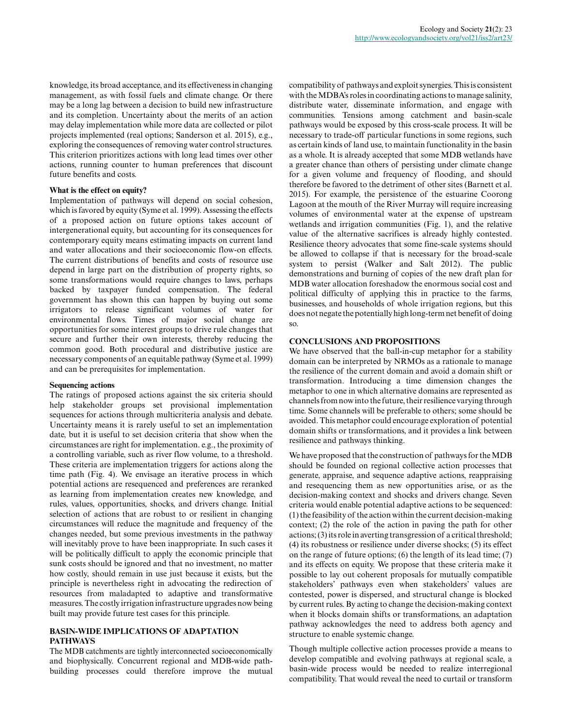knowledge, its broad acceptance, and its effectiveness in changing management, as with fossil fuels and climate change. Or there may be a long lag between a decision to build new infrastructure and its completion. Uncertainty about the merits of an action may delay implementation while more data are collected or pilot projects implemented (real options; Sanderson et al. 2015), e.g., exploring the consequences of removing water control structures. This criterion prioritizes actions with long lead times over other actions, running counter to human preferences that discount future benefits and costs.

## **What is the effect on equity?**

Implementation of pathways will depend on social cohesion, which is favored by equity (Syme et al. 1999). Assessing the effects of a proposed action on future options takes account of intergenerational equity, but accounting for its consequences for contemporary equity means estimating impacts on current land and water allocations and their socioeconomic flow-on effects. The current distributions of benefits and costs of resource use depend in large part on the distribution of property rights, so some transformations would require changes to laws, perhaps backed by taxpayer funded compensation. The federal government has shown this can happen by buying out some irrigators to release significant volumes of water for environmental flows. Times of major social change are opportunities for some interest groups to drive rule changes that secure and further their own interests, thereby reducing the common good. Both procedural and distributive justice are necessary components of an equitable pathway (Syme et al. 1999) and can be prerequisites for implementation.

## **Sequencing actions**

The ratings of proposed actions against the six criteria should help stakeholder groups set provisional implementation sequences for actions through multicriteria analysis and debate. Uncertainty means it is rarely useful to set an implementation date, but it is useful to set decision criteria that show when the circumstances are right for implementation. e.g., the proximity of a controlling variable, such as river flow volume, to a threshold. These criteria are implementation triggers for actions along the time path (Fig. 4). We envisage an iterative process in which potential actions are resequenced and preferences are reranked as learning from implementation creates new knowledge, and rules, values, opportunities, shocks, and drivers change. Initial selection of actions that are robust to or resilient in changing circumstances will reduce the magnitude and frequency of the changes needed, but some previous investments in the pathway will inevitably prove to have been inappropriate. In such cases it will be politically difficult to apply the economic principle that sunk costs should be ignored and that no investment, no matter how costly, should remain in use just because it exists, but the principle is nevertheless right in advocating the redirection of resources from maladapted to adaptive and transformative measures. The costly irrigation infrastructure upgrades now being built may provide future test cases for this principle.

# **BASIN-WIDE IMPLICATIONS OF ADAPTATION PATHWAYS**

The MDB catchments are tightly interconnected socioeconomically and biophysically. Concurrent regional and MDB-wide pathbuilding processes could therefore improve the mutual compatibility of pathways and exploit synergies. This is consistent with the MDBA's roles in coordinating actions to manage salinity, distribute water, disseminate information, and engage with communities. Tensions among catchment and basin-scale pathways would be exposed by this cross-scale process. It will be necessary to trade-off particular functions in some regions, such as certain kinds of land use, to maintain functionality in the basin as a whole. It is already accepted that some MDB wetlands have a greater chance than others of persisting under climate change for a given volume and frequency of flooding, and should therefore be favored to the detriment of other sites (Barnett et al. 2015). For example, the persistence of the estuarine Coorong Lagoon at the mouth of the River Murray will require increasing volumes of environmental water at the expense of upstream wetlands and irrigation communities (Fig. 1), and the relative value of the alternative sacrifices is already highly contested. Resilience theory advocates that some fine-scale systems should be allowed to collapse if that is necessary for the broad-scale system to persist (Walker and Salt 2012). The public demonstrations and burning of copies of the new draft plan for MDB water allocation foreshadow the enormous social cost and political difficulty of applying this in practice to the farms, businesses, and households of whole irrigation regions, but this does not negate the potentially high long-term net benefit of doing so.

## **CONCLUSIONS AND PROPOSITIONS**

We have observed that the ball-in-cup metaphor for a stability domain can be interpreted by NRMOs as a rationale to manage the resilience of the current domain and avoid a domain shift or transformation. Introducing a time dimension changes the metaphor to one in which alternative domains are represented as channels from now into the future, their resilience varying through time. Some channels will be preferable to others; some should be avoided. This metaphor could encourage exploration of potential domain shifts or transformations, and it provides a link between resilience and pathways thinking.

We have proposed that the construction of pathways for the MDB should be founded on regional collective action processes that generate, appraise, and sequence adaptive actions, reappraising and resequencing them as new opportunities arise, or as the decision-making context and shocks and drivers change. Seven criteria would enable potential adaptive actions to be sequenced: (1) the feasibility of the action within the current decision-making context; (2) the role of the action in paving the path for other actions; (3) its role in averting transgression of a critical threshold; (4) its robustness or resilience under diverse shocks; (5) its effect on the range of future options; (6) the length of its lead time; (7) and its effects on equity. We propose that these criteria make it possible to lay out coherent proposals for mutually compatible stakeholders' pathways even when stakeholders' values are contested, power is dispersed, and structural change is blocked by current rules. By acting to change the decision-making context when it blocks domain shifts or transformations, an adaptation pathway acknowledges the need to address both agency and structure to enable systemic change.

Though multiple collective action processes provide a means to develop compatible and evolving pathways at regional scale, a basin-wide process would be needed to realize interregional compatibility. That would reveal the need to curtail or transform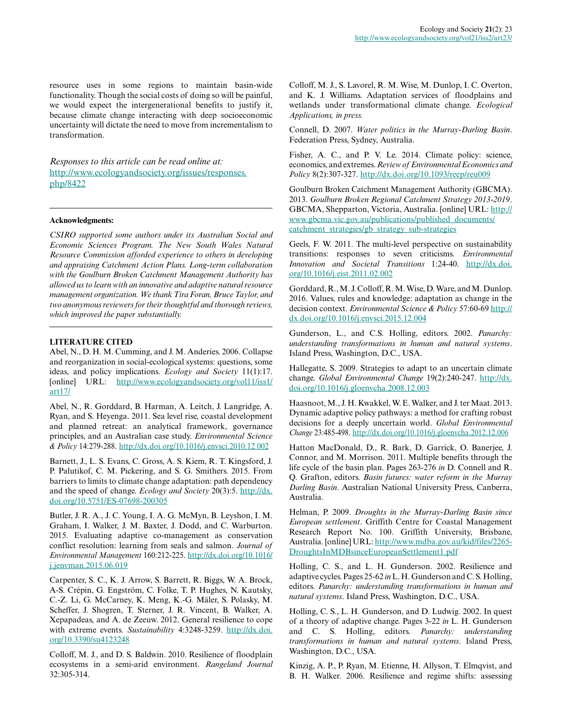resource uses in some regions to maintain basin-wide functionality. Though the social costs of doing so will be painful, we would expect the intergenerational benefits to justify it, because climate change interacting with deep socioeconomic uncertainty will dictate the need to move from incrementalism to transformation.

*Responses to this article can be read online at:* [http://www.ecologyandsociety.org/issues/responses.](http://www.ecologyandsociety.org/issues/responses.php/8422) [php/8422](http://www.ecologyandsociety.org/issues/responses.php/8422)

## **Acknowledgments:**

*CSIRO supported some authors under its Australian Social and Economic Sciences Program. The New South Wales Natural Resource Commission afforded experience to others in developing and appraising Catchment Action Plans. Long-term collaboration with the Goulburn Broken Catchment Management Authority has allowed us to learn with an innovative and adaptive natural resource management organization. We thank Tira Foran, Bruce Taylor, and two anonymous reviewers for their thoughtful and thorough reviews, which improved the paper substantially.*

## **LITERATURE CITED**

Abel, N., D. H. M. Cumming, and J. M. Anderies. 2006. Collapse and reorganization in social-ecological systems: questions, some ideas, and policy implications. *Ecology and Society* 11(1):17. [online] URL: [http://www.ecologyandsociety.org/vol11/iss1/](http://www.ecologyandsociety.org/vol11/iss1/art17/) [art17/](http://www.ecologyandsociety.org/vol11/iss1/art17/)

Abel, N., R. Gorddard, B. Harman, A. Leitch, J. Langridge, A. Ryan, and S. Heyenga. 2011. Sea level rise, coastal development and planned retreat: an analytical framework, governance principles, and an Australian case study. *Environmental Science & Policy* 14:279-288. [http://dx.doi.org/10.1016/j.envsci.2010.12.002](http://dx.doi.org/10.1016%2Fj.envsci.2010.12.002) 

Barnett, J., L. S. Evans, C. Gross, A. S. Kiem, R. T. Kingsford, J. P. Palutikof, C. M. Pickering, and S. G. Smithers. 2015. From barriers to limits to climate change adaptation: path dependency and the speed of change. *Ecology and Society* 20(3):5. [http://dx.](http://dx.doi.org/10.5751%2FES-07698-200305) [doi.org/10.5751/ES-07698-200305](http://dx.doi.org/10.5751%2FES-07698-200305)

Butler, J. R. A., J. C. Young, I. A. G. McMyn, B. Leyshon, I. M. Graham, I. Walker, J. M. Baxter, J. Dodd, and C. Warburton. 2015. Evaluating adaptive co-management as conservation conflict resolution: learning from seals and salmon. *Journal of Environmental Management* 160:212-225. [http://dx.doi.org/10.1016/](http://dx.doi.org/10.1016%2Fj.jenvman.2015.06.019) [j.jenvman.2015.06.019](http://dx.doi.org/10.1016%2Fj.jenvman.2015.06.019)

Carpenter, S. C., K. J. Arrow, S. Barrett, R. Biggs, W. A. Brock, A-S. Crépin, G. Engström, C. Folke, T. P. Hughes, N. Kautsky, C.-Z. Li, G. McCarney, K. Meng, K.-G. Mäler, S. Polasky, M. Scheffer, J. Shogren, T. Sterner, J. R. Vincent, B. Walker, A. Xepapadeas, and A. de Zeeuw. 2012. General resilience to cope with extreme events. *Sustainability* 4:3248-3259. [http://dx.doi.](http://dx.doi.org/10.3390%2Fsu4123248) [org/10.3390/su4123248](http://dx.doi.org/10.3390%2Fsu4123248)

Colloff, M. J., and D. S. Baldwin. 2010. Resilience of floodplain ecosystems in a semi-arid environment. *Rangeland Journal* 32:305-314.

Colloff, M. J., S. Lavorel, R. M. Wise, M. Dunlop, I. C. Overton, and K. J. Williams. Adaptation services of floodplains and wetlands under transformational climate change. *Ecological Applications, in press.*

Connell, D. 2007. *Water politics in the Murray-Darling Basin*. Federation Press, Sydney, Australia.

Fisher, A. C., and P. V. Le. 2014. Climate policy: science, economics, and extremes. *Review of Environmental Economics and Policy* 8(2):307-327. [http://dx.doi.org/10.1093/reep/reu009](http://dx.doi.org/10.1093%2Freep%2Freu009)

Goulburn Broken Catchment Management Authority (GBCMA). 2013. *Goulburn Broken Regional Catchment Strategy 2013-2019*. GBCMA, Shepparton, Victoria, Australia. [online] URL: [http://](http://www.gbcma.vic.gov.au/publications/published_documents/catchment_strategies/gb_strategy_sub-strategies) [www.gbcma.vic.gov.au/publications/published\\_documents/](http://www.gbcma.vic.gov.au/publications/published_documents/catchment_strategies/gb_strategy_sub-strategies) [catchment\\_strategies/gb\\_strategy\\_sub-strategies](http://www.gbcma.vic.gov.au/publications/published_documents/catchment_strategies/gb_strategy_sub-strategies)

Geels, F. W. 2011. The multi-level perspective on sustainability transitions: responses to seven criticisms. *Environmental Innovation and Societal Transitions* 1:24-40. [http://dx.doi.](http://dx.doi.org/10.1016%2Fj.eist.2011.02.002) [org/10.1016/j.eist.2011.02.002](http://dx.doi.org/10.1016%2Fj.eist.2011.02.002) 

Gorddard, R., M. J. Colloff, R. M. Wise, D. Ware, and M. Dunlop. 2016. Values, rules and knowledge: adaptation as change in the decision context. *Environmental Science & Policy* 57:60-69 [http://](http://dx.doi.org/10.1016%2Fj.envsci.2015.12.004) [dx.doi.org/10.1016/j.envsci.2015.12.004](http://dx.doi.org/10.1016%2Fj.envsci.2015.12.004)

Gunderson, L., and C.S. Holling, editors. 2002. *Panarchy: understanding transformations in human and natural systems*. Island Press, Washington, D.C., USA.

Hallegatte, S. 2009. Strategies to adapt to an uncertain climate change. *Global Environmental Change* 19(2):240-247. [http://dx.](http://dx.doi.org/10.1016%2Fj.gloenvcha.2008.12.003) [doi.org/10.1016/j.gloenvcha.2008.12.003](http://dx.doi.org/10.1016%2Fj.gloenvcha.2008.12.003) 

Haasnoot, M., J. H. Kwakkel, W. E. Walker, and J. ter Maat. 2013. Dynamic adaptive policy pathways: a method for crafting robust decisions for a deeply uncertain world. *Global Environmental Change* 23:485-498. [http://dx.doi.org/10.1016/j.gloenvcha.2012.12.006](http://dx.doi.org/10.1016%2Fj.gloenvcha.2012.12.006) 

Hatton MacDonald, D., R. Bark, D. Garrick, O. Banerjee, J. Connor, and M. Morrison. 2011. Multiple benefits through the life cycle of the basin plan. Pages 263-276 *in* D. Connell and R. Q. Grafton, editors. *Basin futures: water reform in the Murray Darling Basin*. Australian National University Press, Canberra, Australia.

Helman, P. 2009. *Droughts in the Murray-Darling Basin since European settlement*. Griffith Centre for Coastal Management Research Report No. 100. Griffith University, Brisbane, Australia. [online] URL: [http://www.mdba.gov.au/kid/files/2265-](http://www.mdba.gov.au/kid/files/2265-DroughtsInMDBsinceEuropeanSettlement1.pdf) [DroughtsInMDBsinceEuropeanSettlement1.pdf](http://www.mdba.gov.au/kid/files/2265-DroughtsInMDBsinceEuropeanSettlement1.pdf)

Holling, C. S., and L. H. Gunderson. 2002. Resilience and adaptive cycles. Pages 25-62 *in* L. H. Gunderson and C. S. Holling, editors. *Panarchy: understanding transformations in human and natural systems*. Island Press, Washington, D.C., USA.

Holling, C. S., L. H. Gunderson, and D. Ludwig. 2002. In quest of a theory of adaptive change. Pages 3-22 *in* L. H. Gunderson and C. S. Holling, editors. *Panarchy: understanding transformations in human and natural systems*. Island Press, Washington, D.C., USA.

Kinzig, A. P., P. Ryan, M. Etienne, H. Allyson, T. Elmqvist, and B. H. Walker. 2006. Resilience and regime shifts: assessing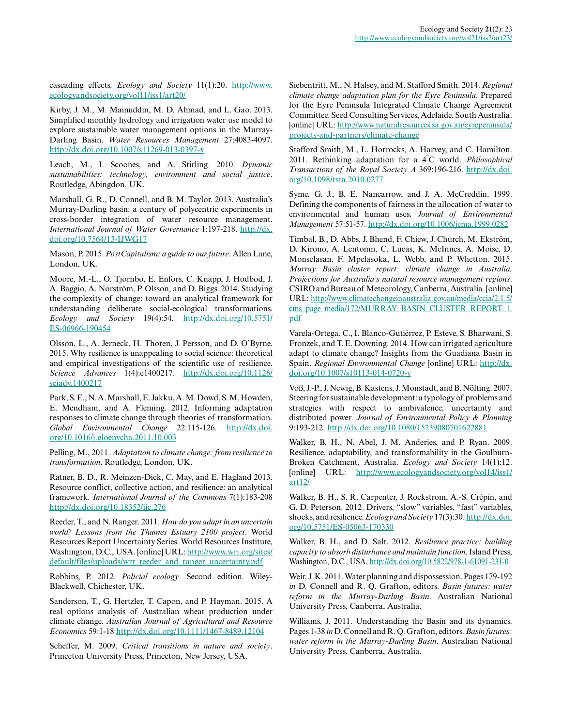cascading effects. *Ecology and Society* 11(1):20. [http://www.](http://www.ecologyandsociety.org/vol11/iss1/art20/) [ecologyandsociety.org/vol11/iss1/art20/](http://www.ecologyandsociety.org/vol11/iss1/art20/)

Kirby, J. M., M. Mainuddin, M. D. Ahmad, and L. Gao. 2013. Simplified monthly hydrology and irrigation water use model to explore sustainable water management options in the Murray-Darling Basin. *Water Resources Management* 27:4083-4097. [http://dx.doi.org/10.1007/s11269-013-0397-x](http://dx.doi.org/10.1007%2Fs11269-013-0397-x)

Leach, M., I. Scoones, and A. Stirling. 2010. *Dynamic sustainabilities: technology, environment and social justice*. Routledge, Abingdon, UK.

Marshall, G. R., D. Connell, and B. M. Taylor. 2013. Australia's Murray-Darling basin: a century of polycentric experiments in cross-border integration of water resource management. *International Journal of Water Governance* 1:197-218. [http://dx.](http://dx.doi.org/10.7564%2F13-IJWG17) [doi.org/10.7564/13-IJWG17](http://dx.doi.org/10.7564%2F13-IJWG17)

Mason, P. 2015. *PostCapitalism: a guide to our future*. Allen Lane, London, UK.

Moore, M.-L., O. Tjornbo, E. Enfors, C. Knapp, J. Hodbod, J. A. Baggio, A. Norström, P. Olsson, and D. Biggs. 2014. Studying the complexity of change: toward an analytical framework for understanding deliberate social-ecological transformations. *Ecology and Society* 19(4):54. [http://dx.doi.org/10.5751/](http://dx.doi.org/10.5751%2FES-06966-190454) [ES-06966-190454](http://dx.doi.org/10.5751%2FES-06966-190454)

Olsson, L., A. Jerneck, H. Thoren, J. Persson, and D. O'Byrne. 2015. Why resilience is unappealing to social science: theoretical and empirical investigations of the scientific use of resilience. *Science Advances* 1(4):e1400217. [http://dx.doi.org/10.1126/](http://dx.doi.org/10.1126%2Fsciadv.1400217) [sciadv.1400217](http://dx.doi.org/10.1126%2Fsciadv.1400217) 

Park, S. E., N. A. Marshall, E. Jakku, A. M. Dowd, S. M. Howden, E. Mendham, and A. Fleming. 2012. Informing adaptation responses to climate change through theories of transformation. *Global Environmental Change* 22:115-126. [http://dx.doi.](http://dx.doi.org/10.1016%2Fj.gloenvcha.2011.10.003) [org/10.1016/j.gloenvcha.2011.10.003](http://dx.doi.org/10.1016%2Fj.gloenvcha.2011.10.003)

Pelling, M., 2011. *Adaptation to climate change: from resilience to transformation*. Routledge, London, UK.

Ratner, B. D., R. Meinzen-Dick, C. May, and E. Hagland 2013. Resource conflict, collective action, and resilience: an analytical framework. *International Journal of the Commons* 7(1):183-208 [http://dx.doi.org/10.18352/ijc.276](http://dx.doi.org/10.18352%2Fijc.276) 

Reeder, T., and N. Ranger. 2011. *How do you adapt in an uncertain world? Lessons from the Thames Estuary 2100 project*. World Resources Report Uncertainty Series. World Resources Institute, Washington, D.C., USA. [online] URL: [http://www.wri.org/sites/](http://www.wri.org/sites/default/files/uploads/wrr_reeder_and_ranger_uncertainty.pdf) [default/files/uploads/wrr\\_reeder\\_and\\_ranger\\_uncertainty.pdf](http://www.wri.org/sites/default/files/uploads/wrr_reeder_and_ranger_uncertainty.pdf)

Robbins, P. 2012. *Policial ecology*. Second edition. Wiley-Blackwell, Chichester, UK.

Sanderson, T., G. Hertzler, T. Capon, and P. Hayman. 2015. A real options analysis of Australian wheat production under climate change. *Australian Journal of Agricultural and Resource Economics* 59:1-18 [http://dx.doi.org/10.1111/1467-8489.12104](http://dx.doi.org/10.1111%2F1467-8489.12104) 

Scheffer, M. 2009. *Critical transitions in nature and society*. Princeton University Press, Princeton, New Jersey, USA.

Siebentritt, M., N. Halsey, and M. Stafford Smith. 2014. *Regional climate change adaptation plan for the Eyre Peninsula*. Prepared for the Eyre Peninsula Integrated Climate Change Agreement Committee. Seed Consulting Services, Adelaide, South Australia. [online] URL: [http://www.naturalresources.sa.gov.au/eyrepeninsula/](http://www.naturalresources.sa.gov.au/eyrepeninsula/projects-and-partners/climate-change) [projects-and-partners/climate-change](http://www.naturalresources.sa.gov.au/eyrepeninsula/projects-and-partners/climate-change) 

Stafford Smith, M., L. Horrocks, A. Harvey, and C. Hamilton. 2011. Rethinking adaptation for a 4°C world. *Philosophical Transactions of the Royal Society A* 369:196-216. [http://dx.doi.](http://dx.doi.org/10.1098%2Frsta.2010.0277) [org/10.1098/rsta.2010.0277](http://dx.doi.org/10.1098%2Frsta.2010.0277)

Syme, G. J., B. E. Nancarrow, and J. A. McCreddin. 1999. Defining the components of fairness in the allocation of water to environmental and human uses. *Journal of Environmental Management* 57:51-57. [http://dx.doi.org/10.1006/jema.1999.0282](http://dx.doi.org/10.1006%2Fjema.1999.0282) 

Timbal, B., D. Abbs, J. Bhend, F. Chiew, J. Church, M. Ekström, D. Kirono, A. Lentomn, C. Lucas, K. McInnes, A. Moise, D. Monselasan, F. Mpelasoka, L. Webb, and P. Whetton. 2015. *Murray Basin cluster report: climate change in Australia. Projections for Australia's natural resource management regions*. CSIRO and Bureau of Meteorology, Canberra, Australia. [online] URL: [http://www.climatechangeinaustralia.gov.au/media/ccia/2.1.5/](http://www.climatechangeinaustralia.gov.au/media/ccia/2.1.5/cms_page_media/172/MURRAY_BASIN_CLUSTER_REPORT_1.pdf/) [cms\\_page\\_media/172/MURRAY\\_BASIN\\_CLUSTER\\_REPORT\\_1.](http://www.climatechangeinaustralia.gov.au/media/ccia/2.1.5/cms_page_media/172/MURRAY_BASIN_CLUSTER_REPORT_1.pdf/) [pdf](http://www.climatechangeinaustralia.gov.au/media/ccia/2.1.5/cms_page_media/172/MURRAY_BASIN_CLUSTER_REPORT_1.pdf/)

Varela-Ortega, C., I. Blanco-Gutiérrez, P. Esteve, S. Bharwani, S. Fronzek, and T. E. Downing. 2014. How can irrigated agriculture adapt to climate change? Insights from the Guadiana Basin in Spain. *Regional Environmental Change* [online] URL: [http://dx.](http://dx.doi.org/10.1007%2Fs10113-014-0720-y) [doi.org/10.1007/s10113-014-0720-y](http://dx.doi.org/10.1007%2Fs10113-014-0720-y) 

Voß, J.-P., J. Newig, B. Kastens, J. Monstadt, and B. Nölting. 2007. Steering for sustainable development: a typology of problems and strategies with respect to ambivalence, uncertainty and distributed power. *Journal of Environmental Policy & Planning* 9:193-212. [http://dx.doi.org/10.1080/15239080701622881](http://dx.doi.org/10.1080%2F15239080701622881)

Walker, B. H., N. Abel, J. M. Anderies, and P. Ryan. 2009. Resilience, adaptability, and transformability in the Goulburn-Broken Catchment, Australia. *Ecology and Society* 14(1):12. [online] URL: [http://www.ecologyandsociety.org/vol14/iss1/](http://www.ecologyandsociety.org/vol14/iss1/art12/) [art12/](http://www.ecologyandsociety.org/vol14/iss1/art12/)

Walker, B. H., S. R. Carpenter, J. Rockstrom, A.-S. Crépin, and G. D. Peterson. 2012. Drivers, "slow" variables, "fast" variables, shocks, and resilience. *Ecology and Society* 17(3):30. [http://dx.doi.](http://dx.doi.org/10.5751%2FES-05063-170330) [org/10.5751/ES-05063-170330](http://dx.doi.org/10.5751%2FES-05063-170330) 

Walker, B. H., and D. Salt. 2012. *Resilience practice: building capacity to absorb disturbance and maintain function*. Island Press, Washington, D.C., USA. [http://dx.doi.org/10.5822/978-1-61091-231-0](http://dx.doi.org/10.5822%2F978-1-61091-231-0) 

Weir, J. K. 2011. Water planning and dispossession. Pages 179-192 *in* D. Connell and R. Q. Grafton, editors. *Basin futures: water reform in the Murray-Darling Basin*. Australian National University Press, Canberra, Australia.

Williams, J. 2011. Understanding the Basin and its dynamics. Pages 1-38 *in* D. Connell and R. Q. Grafton, editors. *Basin futures: water reform in the Murray-Darling Basin*. Australian National University Press, Canberra, Australia.